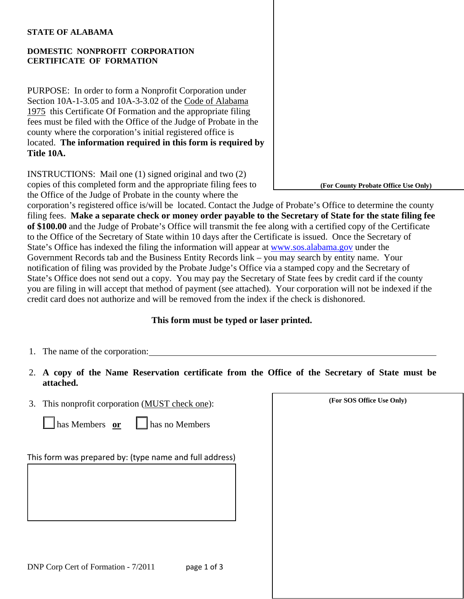#### **STATE OF ALABAMA**

### **DOMESTIC NONPROFIT CORPORATION CERTIFICATE OF FORMATION**

PURPOSE: In order to form a Nonprofit Corporation under Section 10A-1-3.05 and 10A-3-3.02 of the Code of Alabama 1975 this Certificate Of Formation and the appropriate filing fees must be filed with the Office of the Judge of Probate in the county where the corporation's initial registered office is located. **The information required in this form is required b y Title 1 0A.** 

INSTRUCTIONS: Mail one (1) signed original and two (2) copies of this completed form and the appropriate filing fees to the Office of the Judge of Probate in the county where the

corporation's registered office is/will be located. Contact the Judge of Probate's Office to determine the county filing fees. **Make a separate check or money order payable to the Secretary of State for the state filing fee of \$100.00** and the Judge of Probate's Office will transmit the fee along with a certified copy of the Certificate to the Office of the Secretary of State within 10 days after the Certificate is issued. Once the Secretary of State's Office has indexed the filing the information will appear at [www.sos.alabama.gov](http://www.sos.alabama.gov/) under the Government Records tab and the Business Entity Records link – you may search by entity name. Your notification of filing was provided by the Probate Judge's Office via a stamped copy and the Secretary of State's Office does not send out a copy. You may pay the Secretary of State fees by credit card if the county you are filing in will accept that method of payment (see attached). Your corporation will not be indexed if the credit card does not authorize and will be removed from the index if the check is dishonored.

### **This form must be typed or laser printed.**

- 1. The name of the corporation:
- 2. **A copy of the Name Reservation certificate from the Office of the Secretary of State must be attached.**
- **(For SOS Office Use Only)** 3. This nonprofit corporation (MUST check one):

| $\Box$ has Members or |  | $\Box$ has no Members |
|-----------------------|--|-----------------------|
|-----------------------|--|-----------------------|

This form was prepared by: (type name and full address)

**(For County Probate Office Use Only)**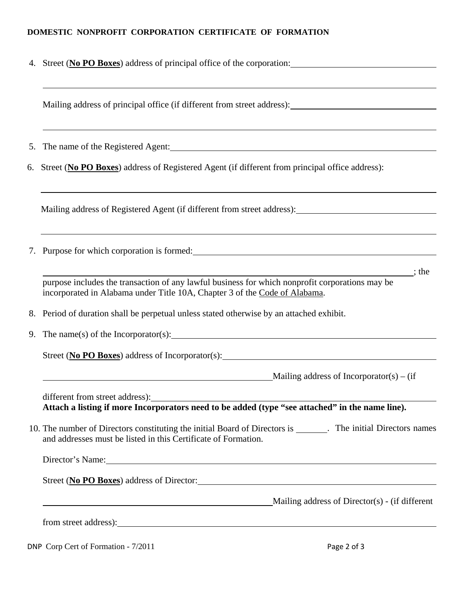# **DOMESTIC NONPROFIT CORPORATION CERTIFICATE OF FORMATION**

|    | 4. Street (No PO Boxes) address of principal office of the corporation:                                                                                                                                                                                                          |  |  |  |
|----|----------------------------------------------------------------------------------------------------------------------------------------------------------------------------------------------------------------------------------------------------------------------------------|--|--|--|
|    |                                                                                                                                                                                                                                                                                  |  |  |  |
| 5. | The name of the Registered Agent: 1997 and 2008 and 2009 and 2009 and 2009 and 2009 and 2009 and 2009 and 2009 and 2009 and 2009 and 2009 and 2009 and 2009 and 2009 and 2009 and 2009 and 2009 and 2009 and 2009 and 2009 and                                                   |  |  |  |
|    | 6. Street (No PO Boxes) address of Registered Agent (if different from principal office address):                                                                                                                                                                                |  |  |  |
|    |                                                                                                                                                                                                                                                                                  |  |  |  |
|    | ,我们也不会有什么。""我们的人,我们也不会有什么?""我们的人,我们也不会有什么?""我们的人,我们也不会有什么?""我们的人,我们也不会有什么?""我们的人<br>7. Purpose for which corporation is formed: 2000 and 2000 and 2000 and 2000 and 2000 and 2000 and 2000 and 200                                                                               |  |  |  |
|    | $;$ the<br>purpose includes the transaction of any lawful business for which nonprofit corporations may be<br>incorporated in Alabama under Title 10A, Chapter 3 of the Code of Alabama.                                                                                         |  |  |  |
|    | 8. Period of duration shall be perpetual unless stated otherwise by an attached exhibit.                                                                                                                                                                                         |  |  |  |
|    | 9. The name(s) of the Incorporator(s): $\frac{1}{2}$ and $\frac{1}{2}$ and $\frac{1}{2}$ and $\frac{1}{2}$ and $\frac{1}{2}$ and $\frac{1}{2}$ and $\frac{1}{2}$ and $\frac{1}{2}$ and $\frac{1}{2}$ and $\frac{1}{2}$ and $\frac{1}{2}$ and $\frac{1}{2}$ and $\frac{1}{2}$ and |  |  |  |
|    |                                                                                                                                                                                                                                                                                  |  |  |  |
|    | Mailing address of Incorporator(s) – (if                                                                                                                                                                                                                                         |  |  |  |
|    | different from street address):<br>Attach a listing if more Incorporators need to be added (type "see attached" in the name line).                                                                                                                                               |  |  |  |
|    | 10. The number of Directors constituting the initial Board of Directors is _______. The initial Directors names<br>and addresses must be listed in this Certificate of Formation.                                                                                                |  |  |  |
|    | Director's Name: 2008 and 2008 and 2008 and 2008 and 2008 and 2008 and 2008 and 2008 and 2008 and 2008 and 200                                                                                                                                                                   |  |  |  |
|    | Street (No PO Boxes) address of Director:                                                                                                                                                                                                                                        |  |  |  |
|    | Mailing address of Director(s) - (if different<br><u> 1989 - Johann Stoff, deutscher Stoffen und der Stoffen und der Stoffen und der Stoffen und der Stoffen und der</u>                                                                                                         |  |  |  |
|    | from street address): <u>contract and the set of the set of the set of the set of the set of the set of the set of the set of the set of the set of the set of the set of the set of the set of the set of the set of the set of</u>                                             |  |  |  |

DNP Corp Cert of Formation - 7/2011 Page 2 of 3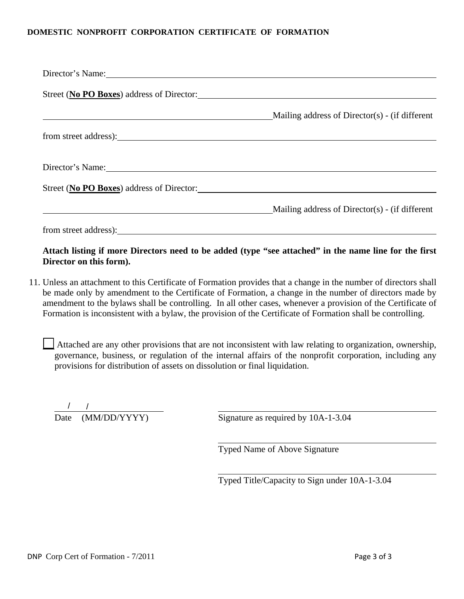#### **DOMESTIC NONPROFIT CORPORATION CERTIFICATE OF FORMATION**

| Director's Name: 2008. [2016] Director's Name: |                                                |
|------------------------------------------------|------------------------------------------------|
| Street (No PO Boxes) address of Director:      |                                                |
|                                                | Mailing address of Director(s) - (if different |
|                                                |                                                |
| Director's Name:                               |                                                |
| Street (No PO Boxes) address of Director:      |                                                |
|                                                | Mailing address of Director(s) - (if different |
|                                                |                                                |

## **Attach listing if more Directors need to be added (type "see attached" in the name line for the first Director on this form).**

- 11. Unless an attachment to this Certificate of Formation provides that a change in the number of directors shall be made only by amendment to the Certificate of Formation, a change in the number of directors made by amendment to the bylaws shall be controlling. In all other cases, whenever a provision of the Certificate of Formation is inconsistent with a bylaw, the provision of the Certificate of Formation shall be controlling.
	- Attached are any other provisions that are not inconsistent with law relating to organization, ownership, governance, business, or regulation of the internal affairs of the nonprofit corporation, including any provisions for distribution of assets on dissolution or final liquidation.

 $\begin{array}{c|c} / & / \\ \hline \text{Date} & (\text{MM/DD/YYYY}) \\ \end{array}$ 

Signature as required by  $10A-1-3.04$ 

Typed Name of Above Signature

Typed Title/Capacity to Sign under 10A-1-3.04